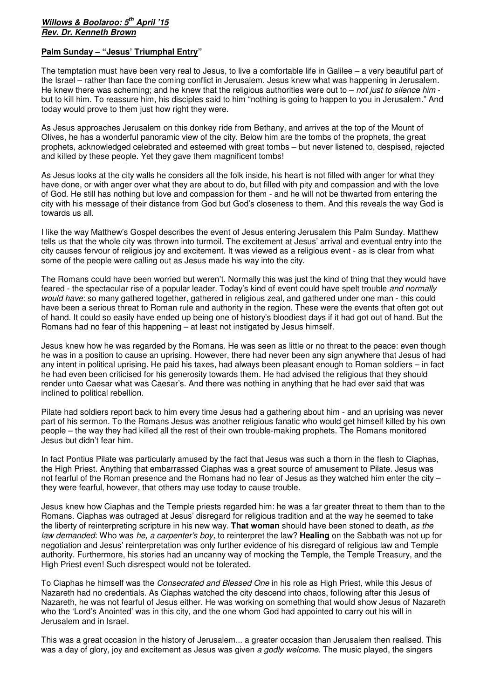## **Willows & Boolaroo: 5th April '15 Rev. Dr. Kenneth Brown**

## **Palm Sunday – "Jesus' Triumphal Entry"**

The temptation must have been very real to Jesus, to live a comfortable life in Galilee – a very beautiful part of the Israel – rather than face the coming conflict in Jerusalem. Jesus knew what was happening in Jerusalem. He knew there was scheming; and he knew that the religious authorities were out to – not just to silence him but to kill him. To reassure him, his disciples said to him "nothing is going to happen to you in Jerusalem." And today would prove to them just how right they were.

As Jesus approaches Jerusalem on this donkey ride from Bethany, and arrives at the top of the Mount of Olives, he has a wonderful panoramic view of the city. Below him are the tombs of the prophets, the great prophets, acknowledged celebrated and esteemed with great tombs – but never listened to, despised, rejected and killed by these people. Yet they gave them magnificent tombs!

As Jesus looks at the city walls he considers all the folk inside, his heart is not filled with anger for what they have done, or with anger over what they are about to do, but filled with pity and compassion and with the love of God. He still has nothing but love and compassion for them - and he will not be thwarted from entering the city with his message of their distance from God but God's closeness to them. And this reveals the way God is towards us all.

I like the way Matthew's Gospel describes the event of Jesus entering Jerusalem this Palm Sunday. Matthew tells us that the whole city was thrown into turmoil. The excitement at Jesus' arrival and eventual entry into the city causes fervour of religious joy and excitement. It was viewed as a religious event - as is clear from what some of the people were calling out as Jesus made his way into the city.

The Romans could have been worried but weren't. Normally this was just the kind of thing that they would have feared - the spectacular rise of a popular leader. Today's kind of event could have spelt trouble and normally would have: so many gathered together, gathered in religious zeal, and gathered under one man - this could have been a serious threat to Roman rule and authority in the region. These were the events that often got out of hand. It could so easily have ended up being one of history's bloodiest days if it had got out of hand. But the Romans had no fear of this happening – at least not instigated by Jesus himself.

Jesus knew how he was regarded by the Romans. He was seen as little or no threat to the peace: even though he was in a position to cause an uprising. However, there had never been any sign anywhere that Jesus of had any intent in political uprising. He paid his taxes, had always been pleasant enough to Roman soldiers – in fact he had even been criticised for his generosity towards them. He had advised the religious that they should render unto Caesar what was Caesar's. And there was nothing in anything that he had ever said that was inclined to political rebellion.

Pilate had soldiers report back to him every time Jesus had a gathering about him - and an uprising was never part of his sermon. To the Romans Jesus was another religious fanatic who would get himself killed by his own people – the way they had killed all the rest of their own trouble-making prophets. The Romans monitored Jesus but didn't fear him.

In fact Pontius Pilate was particularly amused by the fact that Jesus was such a thorn in the flesh to Ciaphas, the High Priest. Anything that embarrassed Ciaphas was a great source of amusement to Pilate. Jesus was not fearful of the Roman presence and the Romans had no fear of Jesus as they watched him enter the city – they were fearful, however, that others may use today to cause trouble.

Jesus knew how Ciaphas and the Temple priests regarded him: he was a far greater threat to them than to the Romans. Ciaphas was outraged at Jesus' disregard for religious tradition and at the way he seemed to take the liberty of reinterpreting scripture in his new way. **That woman** should have been stoned to death, as the law demanded: Who was he, a carpenter's boy, to reinterpret the law? **Healing** on the Sabbath was not up for negotiation and Jesus' reinterpretation was only further evidence of his disregard of religious law and Temple authority. Furthermore, his stories had an uncanny way of mocking the Temple, the Temple Treasury, and the High Priest even! Such disrespect would not be tolerated.

To Ciaphas he himself was the Consecrated and Blessed One in his role as High Priest, while this Jesus of Nazareth had no credentials. As Ciaphas watched the city descend into chaos, following after this Jesus of Nazareth, he was not fearful of Jesus either. He was working on something that would show Jesus of Nazareth who the 'Lord's Anointed' was in this city, and the one whom God had appointed to carry out his will in Jerusalem and in Israel.

This was a great occasion in the history of Jerusalem... a greater occasion than Jerusalem then realised. This was a day of glory, joy and excitement as Jesus was given a godly welcome. The music played, the singers